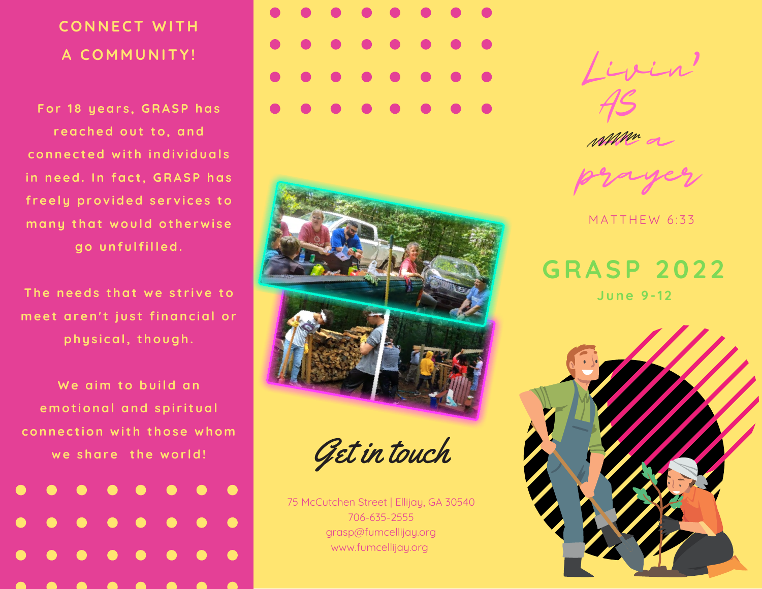# **C O N N E C T W I T H A C O M M U N I T Y !**

For 18 years, GRASP has reached out to, and connected with individuals in need. In fact, GRASP has freely provided services to many that would otherwise go unfulfilled.

The needs that we strive to meet aren't just financial or physical, though.

We aim to build an e motional and spiritual connection with those whom we share the world!







Get in touch

75 McCutchen Street | Ellijay, GA 30540 706-635-2555 grasp@fumcellijay.org www.fumcellijay.org



AS

MMm a

prayer

MATTHEW 6:33

**G R A S P 2 0 2 2 J u n e 9 - 1 2**